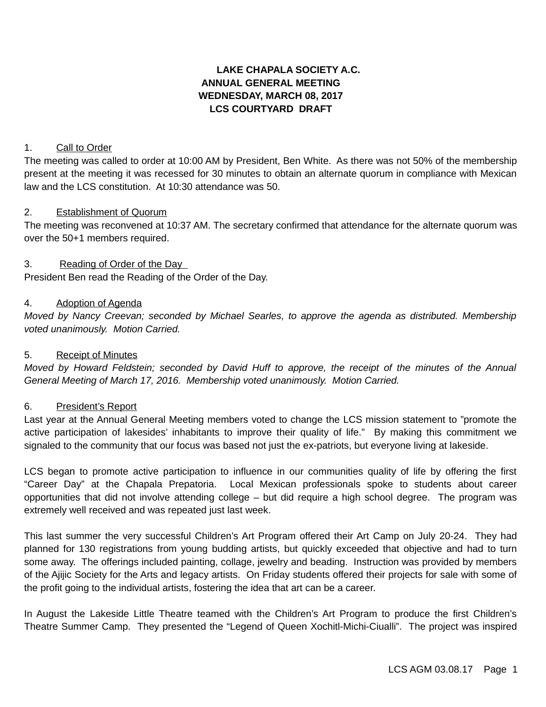# **LAKE CHAPALA SOCIETY A.C. ANNUAL GENERAL MEETING WEDNESDAY, MARCH 08, 2017 LCS COURTYARD DRAFT**

### 1. Call to Order

The meeting was called to order at 10:00 AM by President, Ben White. As there was not 50% of the membership present at the meeting it was recessed for 30 minutes to obtain an alternate quorum in compliance with Mexican law and the LCS constitution. At 10:30 attendance was 50.

### 2. Establishment of Quorum

The meeting was reconvened at 10:37 AM. The secretary confirmed that attendance for the alternate quorum was over the 50+1 members required.

## 3. Reading of Order of the Day

President Ben read the Reading of the Order of the Day.

### 4. Adoption of Agenda

*Moved by Nancy Creevan; seconded by Michael Searles, to approve the agenda as distributed. Membership voted unanimously. Motion Carried.*

### 5. Receipt of Minutes

*Moved by Howard Feldstein; seconded by David Huff to approve, the receipt of the minutes of the Annual General Meeting of March 17, 2016. Membership voted unanimously. Motion Carried.*

### 6. President's Report

Last year at the Annual General Meeting members voted to change the LCS mission statement to "promote the active participation of lakesides' inhabitants to improve their quality of life." By making this commitment we signaled to the community that our focus was based not just the ex-patriots, but everyone living at lakeside.

LCS began to promote active participation to influence in our communities quality of life by offering the first "Career Day" at the Chapala Prepatoria. Local Mexican professionals spoke to students about career opportunities that did not involve attending college – but did require a high school degree. The program was extremely well received and was repeated just last week.

This last summer the very successful Children's Art Program offered their Art Camp on July 20-24. They had planned for 130 registrations from young budding artists, but quickly exceeded that objective and had to turn some away. The offerings included painting, collage, jewelry and beading. Instruction was provided by members of the Ajijic Society for the Arts and legacy artists. On Friday students offered their projects for sale with some of the profit going to the individual artists, fostering the idea that art can be a career.

In August the Lakeside Little Theatre teamed with the Children's Art Program to produce the first Children's Theatre Summer Camp. They presented the "Legend of Queen Xochitl-Michi-Ciualli". The project was inspired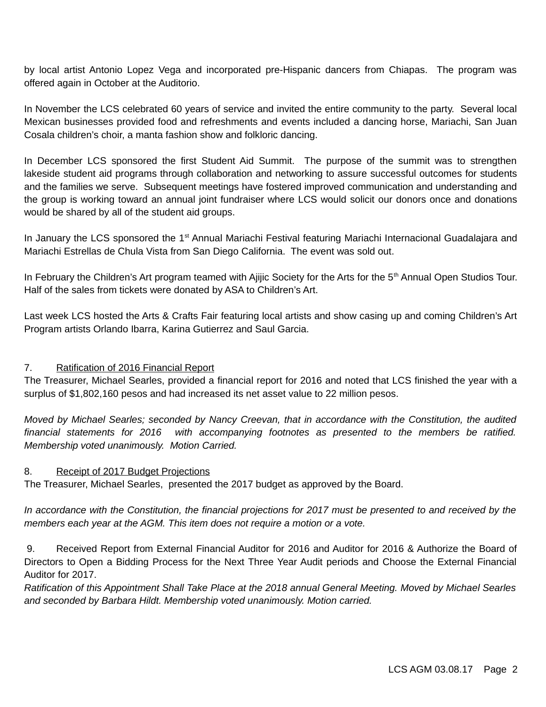by local artist Antonio Lopez Vega and incorporated pre-Hispanic dancers from Chiapas. The program was offered again in October at the Auditorio.

In November the LCS celebrated 60 years of service and invited the entire community to the party. Several local Mexican businesses provided food and refreshments and events included a dancing horse, Mariachi, San Juan Cosala children's choir, a manta fashion show and folkloric dancing.

In December LCS sponsored the first Student Aid Summit. The purpose of the summit was to strengthen lakeside student aid programs through collaboration and networking to assure successful outcomes for students and the families we serve. Subsequent meetings have fostered improved communication and understanding and the group is working toward an annual joint fundraiser where LCS would solicit our donors once and donations would be shared by all of the student aid groups.

In January the LCS sponsored the 1<sup>st</sup> Annual Mariachi Festival featuring Mariachi Internacional Guadalajara and Mariachi Estrellas de Chula Vista from San Diego California. The event was sold out.

In February the Children's Art program teamed with Ajijic Society for the Arts for the 5<sup>th</sup> Annual Open Studios Tour. Half of the sales from tickets were donated by ASA to Children's Art.

Last week LCS hosted the Arts & Crafts Fair featuring local artists and show casing up and coming Children's Art Program artists Orlando Ibarra, Karina Gutierrez and Saul Garcia.

## 7. Ratification of 2016 Financial Report

The Treasurer, Michael Searles, provided a financial report for 2016 and noted that LCS finished the year with a surplus of \$1,802,160 pesos and had increased its net asset value to 22 million pesos.

*Moved by Michael Searles; seconded by Nancy Creevan, that in accordance with the Constitution, the audited financial statements for 2016 with accompanying footnotes as presented to the members be ratified. Membership voted unanimously. Motion Carried.*

## 8. Receipt of 2017 Budget Projections

The Treasurer, Michael Searles, presented the 2017 budget as approved by the Board.

*In accordance with the Constitution, the financial projections for 2017 must be presented to and received by the members each year at the AGM. This item does not require a motion or a vote.*

 9. Received Report from External Financial Auditor for 2016 and Auditor for 2016 & Authorize the Board of Directors to Open a Bidding Process for the Next Three Year Audit periods and Choose the External Financial Auditor for 2017.

*Ratification of this Appointment Shall Take Place at the 2018 annual General Meeting. Moved by Michael Searles and seconded by Barbara Hildt. Membership voted unanimously. Motion carried.*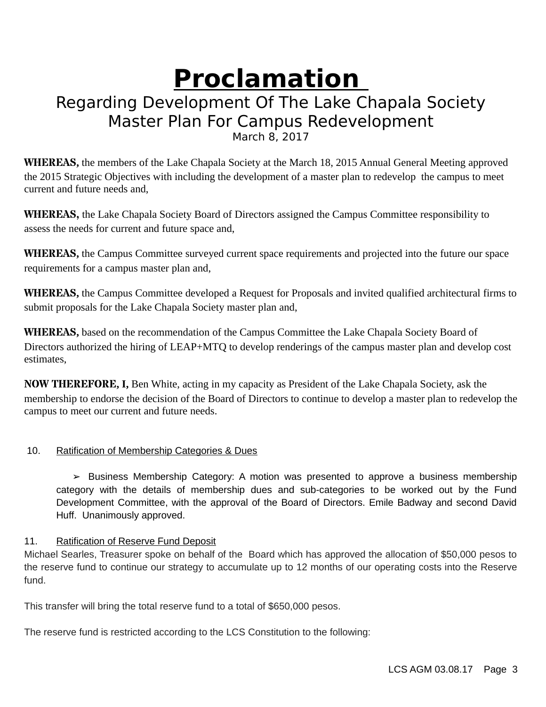# **Proclamation**

# Regarding Development Of The Lake Chapala Society Master Plan For Campus Redevelopment March 8, 2017

**WHEREAS,** the members of the Lake Chapala Society at the March 18, 2015 Annual General Meeting approved the 2015 Strategic Objectives with including the development of a master plan to redevelop the campus to meet current and future needs and,

**WHEREAS,** the Lake Chapala Society Board of Directors assigned the Campus Committee responsibility to assess the needs for current and future space and,

**WHEREAS,** the Campus Committee surveyed current space requirements and projected into the future our space requirements for a campus master plan and,

**WHEREAS,** the Campus Committee developed a Request for Proposals and invited qualified architectural firms to submit proposals for the Lake Chapala Society master plan and,

**WHEREAS,** based on the recommendation of the Campus Committee the Lake Chapala Society Board of Directors authorized the hiring of LEAP+MTQ to develop renderings of the campus master plan and develop cost estimates,

**NOW THEREFORE, I,** Ben White, acting in my capacity as President of the Lake Chapala Society, ask the membership to endorse the decision of the Board of Directors to continue to develop a master plan to redevelop the campus to meet our current and future needs.

# 10. Ratification of Membership Categories & Dues

 $\geq$  Business Membership Category: A motion was presented to approve a business membership category with the details of membership dues and sub-categories to be worked out by the Fund Development Committee, with the approval of the Board of Directors. Emile Badway and second David Huff. Unanimously approved.

# 11. Ratification of Reserve Fund Deposit

Michael Searles, Treasurer spoke on behalf of the Board which has approved the allocation of \$50,000 pesos to the reserve fund to continue our strategy to accumulate up to 12 months of our operating costs into the Reserve fund.

This transfer will bring the total reserve fund to a total of \$650,000 pesos.

The reserve fund is restricted according to the LCS Constitution to the following: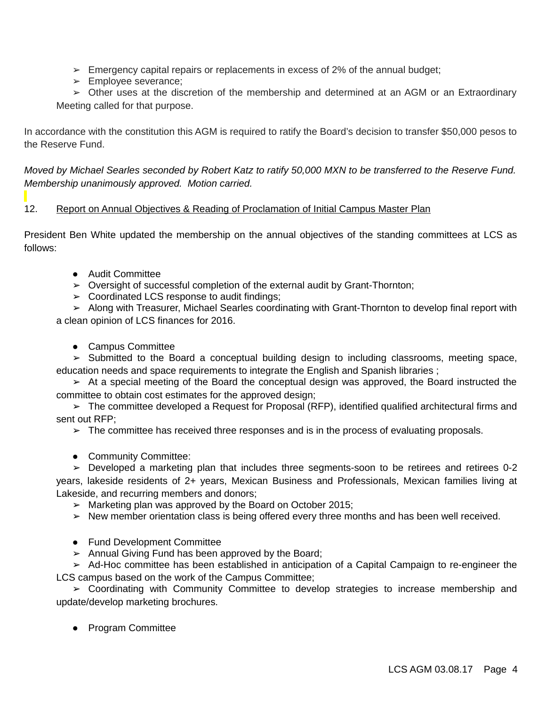- $\geq$  Emergency capital repairs or replacements in excess of 2% of the annual budget;
- ➢ Employee severance;

 $\geq$  Other uses at the discretion of the membership and determined at an AGM or an Extraordinary Meeting called for that purpose.

In accordance with the constitution this AGM is required to ratify the Board's decision to transfer \$50,000 pesos to the Reserve Fund.

*Moved by Michael Searles seconded by Robert Katz to ratify 50,000 MXN to be transferred to the Reserve Fund. Membership unanimously approved. Motion carried.*

# 12. Report on Annual Objectives & Reading of Proclamation of Initial Campus Master Plan

President Ben White updated the membership on the annual objectives of the standing committees at LCS as follows:

- Audit Committee
- $\triangleright$  Oversight of successful completion of the external audit by Grant-Thornton;
- ➢ Coordinated LCS response to audit findings;

➢ Along with Treasurer, Michael Searles coordinating with Grant-Thornton to develop final report with a clean opinion of LCS finances for 2016.

• Campus Committee

➢ Submitted to the Board a conceptual building design to including classrooms, meeting space, education needs and space requirements to integrate the English and Spanish libraries ;

➢ At a special meeting of the Board the conceptual design was approved, the Board instructed the committee to obtain cost estimates for the approved design;

 $\geq$  The committee developed a Request for Proposal (RFP), identified qualified architectural firms and sent out RFP;

 $\geq$  The committee has received three responses and is in the process of evaluating proposals.

● Community Committee:

 $\geq$  Developed a marketing plan that includes three segments-soon to be retirees and retirees 0-2 years, lakeside residents of 2+ years, Mexican Business and Professionals, Mexican families living at Lakeside, and recurring members and donors;

- ➢ Marketing plan was approved by the Board on October 2015;
- $\triangleright$  New member orientation class is being offered every three months and has been well received.
- Fund Development Committee
- $\geq$  Annual Giving Fund has been approved by the Board;

➢ Ad-Hoc committee has been established in anticipation of a Capital Campaign to re-engineer the LCS campus based on the work of the Campus Committee;

➢ Coordinating with Community Committee to develop strategies to increase membership and update/develop marketing brochures.

● Program Committee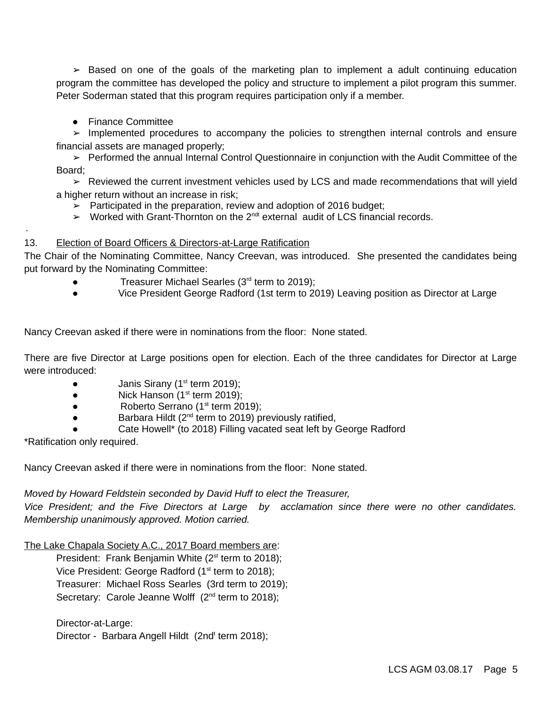$\geq$  Based on one of the goals of the marketing plan to implement a adult continuing education program the committee has developed the policy and structure to implement a pilot program this summer. Peter Soderman stated that this program requires participation only if a member.

● Finance Committee

➢ Implemented procedures to accompany the policies to strengthen internal controls and ensure financial assets are managed properly;

➢ Performed the annual Internal Control Questionnaire in conjunction with the Audit Committee of the Board;

➢ Reviewed the current investment vehicles used by LCS and made recommendations that will yield a higher return without an increase in risk;

➢ Participated in the preparation, review and adoption of 2016 budget;

 $\triangleright$  Worked with Grant-Thornton on the 2<sup>ndt</sup> external audit of LCS financial records.

### 13. Election of Board Officers & Directors-at-Large Ratification

The Chair of the Nominating Committee, Nancy Creevan, was introduced. She presented the candidates being put forward by the Nominating Committee:

- Treasurer Michael Searles (3rd term to 2019);
- Vice President George Radford (1st term to 2019) Leaving position as Director at Large

Nancy Creevan asked if there were in nominations from the floor: None stated.

There are five Director at Large positions open for election. Each of the three candidates for Director at Large were introduced:

- Janis Sirany ( $1<sup>st</sup>$  term 2019);
- Nick Hanson  $(1<sup>st</sup>$  term 2019);
- Roberto Serrano  $(1<sup>st</sup>$  term 2019);
- $\bullet$  Barbara Hildt ( $2^{nd}$  term to 2019) previously ratified,
- Cate Howell\* (to 2018) Filling vacated seat left by George Radford

\*Ratification only required.

·

Nancy Creevan asked if there were in nominations from the floor: None stated.

*Moved by Howard Feldstein seconded by David Huff to elect the Treasurer,* 

*Vice President; and the Five Directors at Large by acclamation since there were no other candidates. Membership unanimously approved. Motion carried.*

The Lake Chapala Society A.C., 2017 Board members are:

President: Frank Benjamin White  $(2^{st}$  term to 2018); Vice President: George Radford  $(1<sup>st</sup>$  term to 2018); Treasurer: Michael Ross Searles (3rd term to 2019); Secretary: Carole Jeanne Wolff (2<sup>nd</sup> term to 2018);

### Director-at-Large:

Director - Barbara Angell Hildt (2nd<sup>t</sup> term 2018);